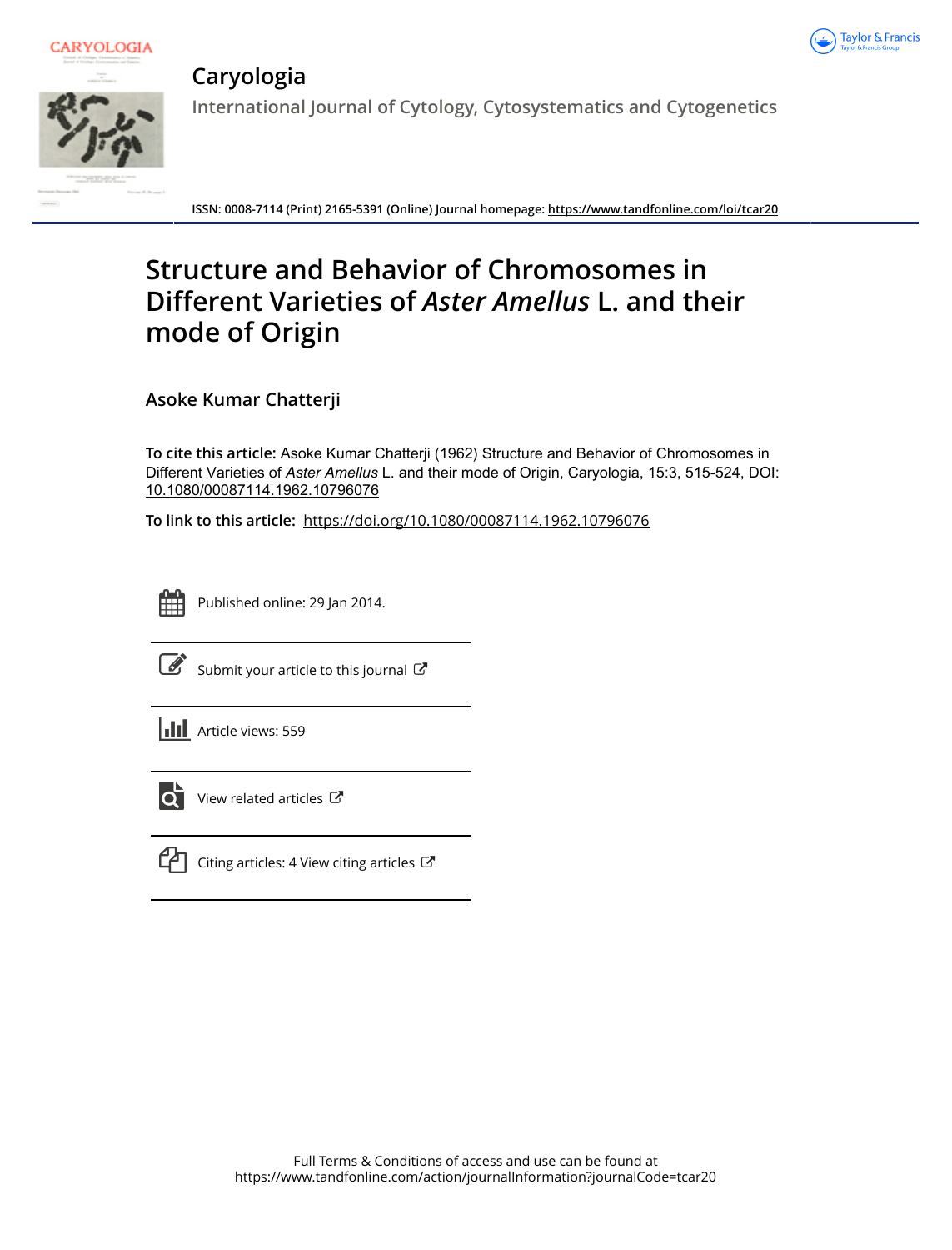



**Caryologia**

**International Journal of Cytology, Cytosystematics and Cytogenetics**

**ISSN: 0008-7114 (Print) 2165-5391 (Online) Journal homepage:<https://www.tandfonline.com/loi/tcar20>**

# **Structure and Behavior of Chromosomes in Different Varieties of** *Aster Amellus* **L. and their mode of Origin**

**Asoke Kumar Chatterji**

**To cite this article:** Asoke Kumar Chatterji (1962) Structure and Behavior of Chromosomes in Different Varieties of *AsterAmellus* L. and their mode of Origin, Caryologia, 15:3, 515-524, DOI: [10.1080/00087114.1962.10796076](https://www.tandfonline.com/action/showCitFormats?doi=10.1080/00087114.1962.10796076)

**To link to this article:** <https://doi.org/10.1080/00087114.1962.10796076>

Published online: 29 Jan 2014.



 $\overrightarrow{S}$  [Submit your article to this journal](https://www.tandfonline.com/action/authorSubmission?journalCode=tcar20&show=instructions)  $\overrightarrow{S}$ 





 $\overrightarrow{Q}$  [View related articles](https://www.tandfonline.com/doi/mlt/10.1080/00087114.1962.10796076)  $\overrightarrow{C}$ 



 $\Box$  [Citing articles: 4 View citing articles](https://www.tandfonline.com/doi/citedby/10.1080/00087114.1962.10796076#tabModule)  $\Box$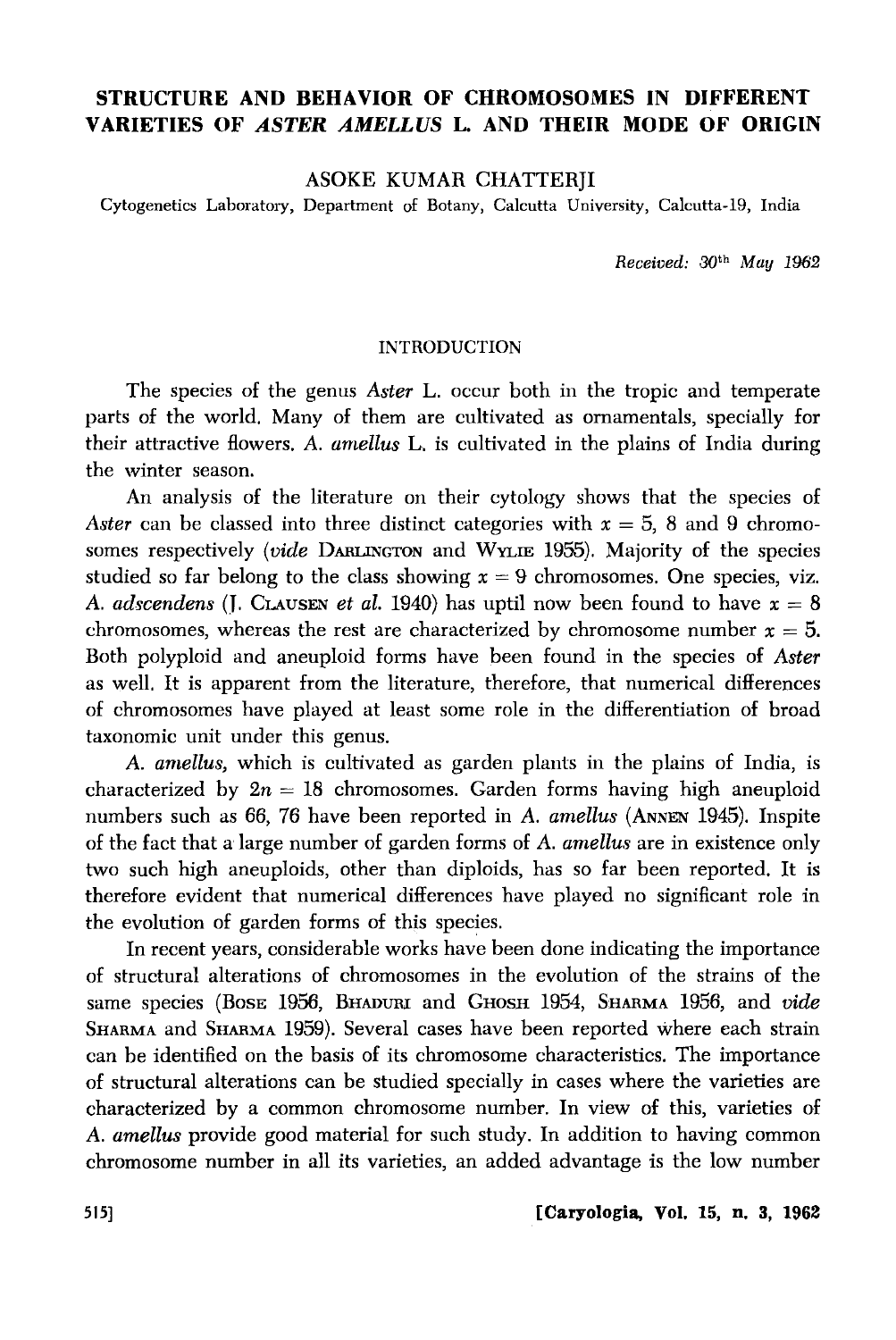## **STRUCTURE AND BEHAVIOR OF CHROMOSOMES IN DIFFERENT VARIETIES OF** *ASTER AMELLUS* **L. AND THEIR MODE OF ORIGIN**

## ASOKE KUMAR CHATTERJI

Cytogenetics Laboratory, Department of Botany, Calcutta University, Calcutta-19, India

*Received:* 301h *May 1962* 

### **INTRODUCTION**

The species of the genus *Aster* L. occur both in the tropic and temperate parts of the world. Many of them are cultivated as ornamentals, specially for their attractive flowers. *A. arnellus* L. is cultivated in the plains of India during the winter season.

An analysis of the literature on their cytology shows that the species of *Aster* can be classed into three distinct categories with  $x = 5$ , 8 and 9 chromosomes respectively *(vide* DARLINGTON and WYLIE 1955). Majority of the species studied so far belong to the class showing  $x = 9$  chromosomes. One species, viz. *A. adscendens* (J. CLAUSEN *et al.* 1940) has uptil now been found to have  $x = 8$ chromosomes, whereas the rest are characterized by chromosome number  $x = 5$ . Both polyploid and aneuploid forms have been found in the species of *Aster*  as well. It is apparent from the literature, therefore, that numerical differences of chromosomes have played at least some role in the differentiation of broad taxonomic unit under this genus.

*A. arnellus,* which is cultivated as garden plants in the plains of India, is characterized by  $2n = 18$  chromosomes. Garden forms having high aneuploid numbers such as 66, 76 have been reported in *A. amellus* (ANNEN 1945). Inspite of the fact that a large number of garden forms of *A. arnellus* are in existence only two such high aneuploids, other than diploids, has so far been reported. It is therefore evident that numerical differences have played no significant role in the evolution of garden forms of this species.

In recent years, considerable works have been done indicating the importance of structural alterations of chromosomes in the evolution of the strains of the same species (Bose 1956, BHADURI and GHOSH 1954, SHARMA 1956, and *vide* SHARMA and SHARMA 1959). Several cases have been reported where each strain can be identified on the basis of its chromosome characteristics. The importance of structural alterations can be studied specially in cases where the varieties are characterized by a common chromosome number. In view of this, varieties of *A. amellus* provide good material for such study. In addition to having common chromosome number in all its varieties, an added advantage is the low number

515] **[Caryologia, Vol.** 15, **n. 3, 1962**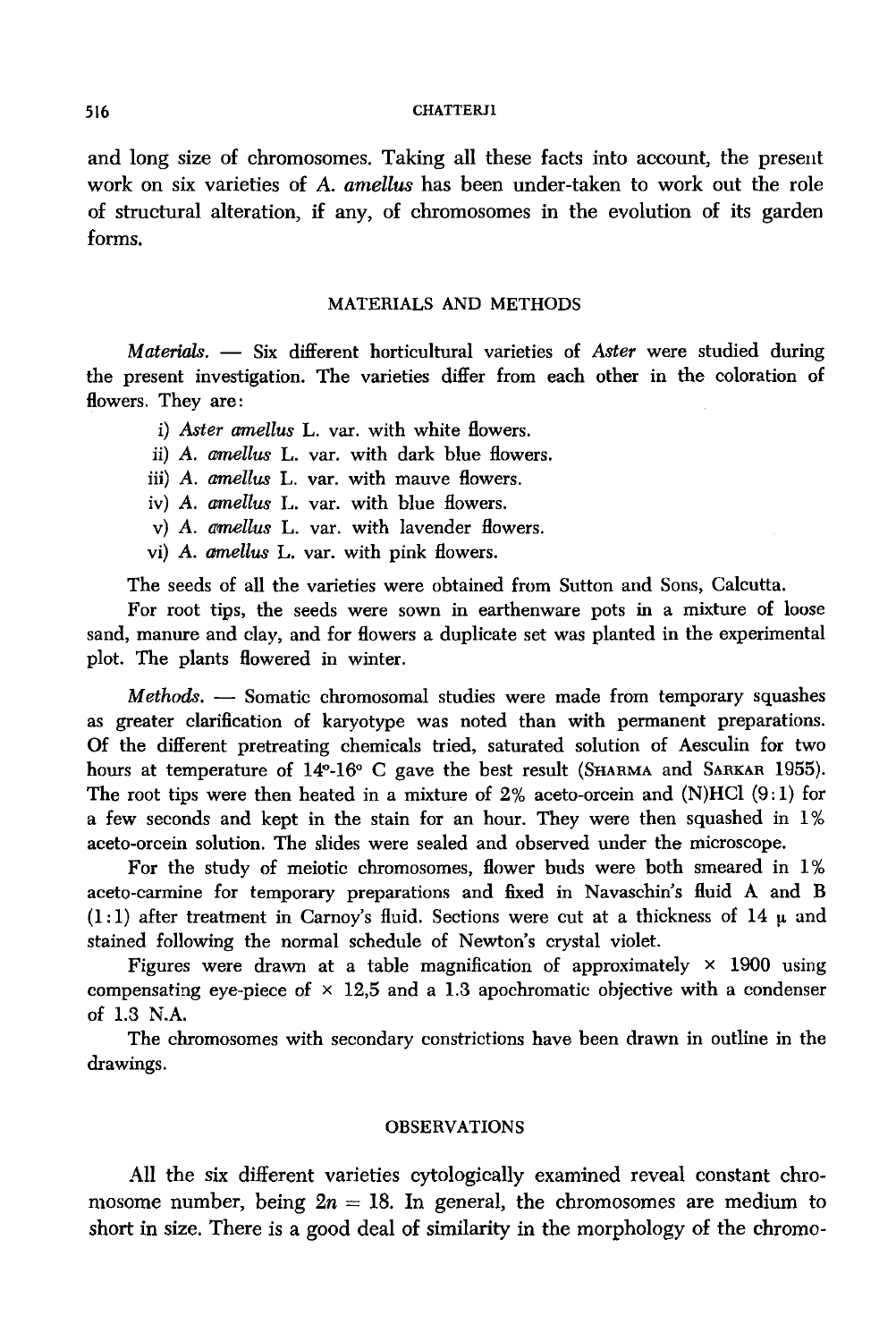#### 516 CHATTERJI

and long size of chromosomes. Taking all these facts into account, the present work on six varieties of *A. amellus* has been under-taken to work out the role of structural alteration, if any, of chromosomes in the evolution of its garden forms.

### MATERIALS AND METHODS

*Materials.* - Six different horticultural varieties of *Aster* were studied during the present investigation. The varieties differ from each other in the coloration of flowers. They are:

- i) *Aster amellus* L. var. with white flowers.
- ii) A. *amellus* L. var. with dark blue flowers.
- iii) *A. amellus* L. var. with mauve flowers.
- iv) A. *amellus* L. var. with blue flowers.
- v) A. *amellus* L. var. with lavender flowers.
- vi) *A. amellus* L. var. with pink flowers.

The seeds of all the varieties were obtained from Sutton and Sons, Calcutta.

For root tips, the seeds were sown in earthenware pots in a mixture of loose sand, manure and clay, and for flowers a duplicate set was planted in the experimental plot. The plants flowered in winter.

*Methods.* - Somatic chromosomal studies were made from temporary squashes as greater clarification of karyotype was noted than with permanent preparations. Of the different pretreating chemicals tried, saturated solution of Aesculin for two hours at temperature of 14°-16° C gave the best result (SHARMA and SARKAR 1955). The root tips were then heated in a mixture of  $2\%$  aceto-orcein and (N)HCl (9:1) for a few seconds and kept in the stain for an hour. They were then squashed in 1% aceta-orcein solution. The slides were sealed and observed under the microscope.

For the study of meiotic chromosomes, flower buds were both smeared in 1% aceta-carmine for temporary preparations and fixed in Navaschin's fluid A and B  $(1:1)$  after treatment in Carnov's fluid. Sections were cut at a thickness of 14  $\mu$  and stained following the normal schedule of Newton's crystal violet.

Figures were drawn at a table magnification of approximately  $\times$  1900 using compensating eye-piece of  $\times$  12,5 and a 1.3 apochromatic objective with a condenser of 1.3 N.A.

The chromosomes with secondary constrictions have been drawn in outline in the drawings.

#### OBSERVATIONS

All the six different varieties cytologically examined reveal constant chromosome number, being  $2n = 18$ . In general, the chromosomes are medium to short in size. There is a good deal of similarity in the morphology of the chromo-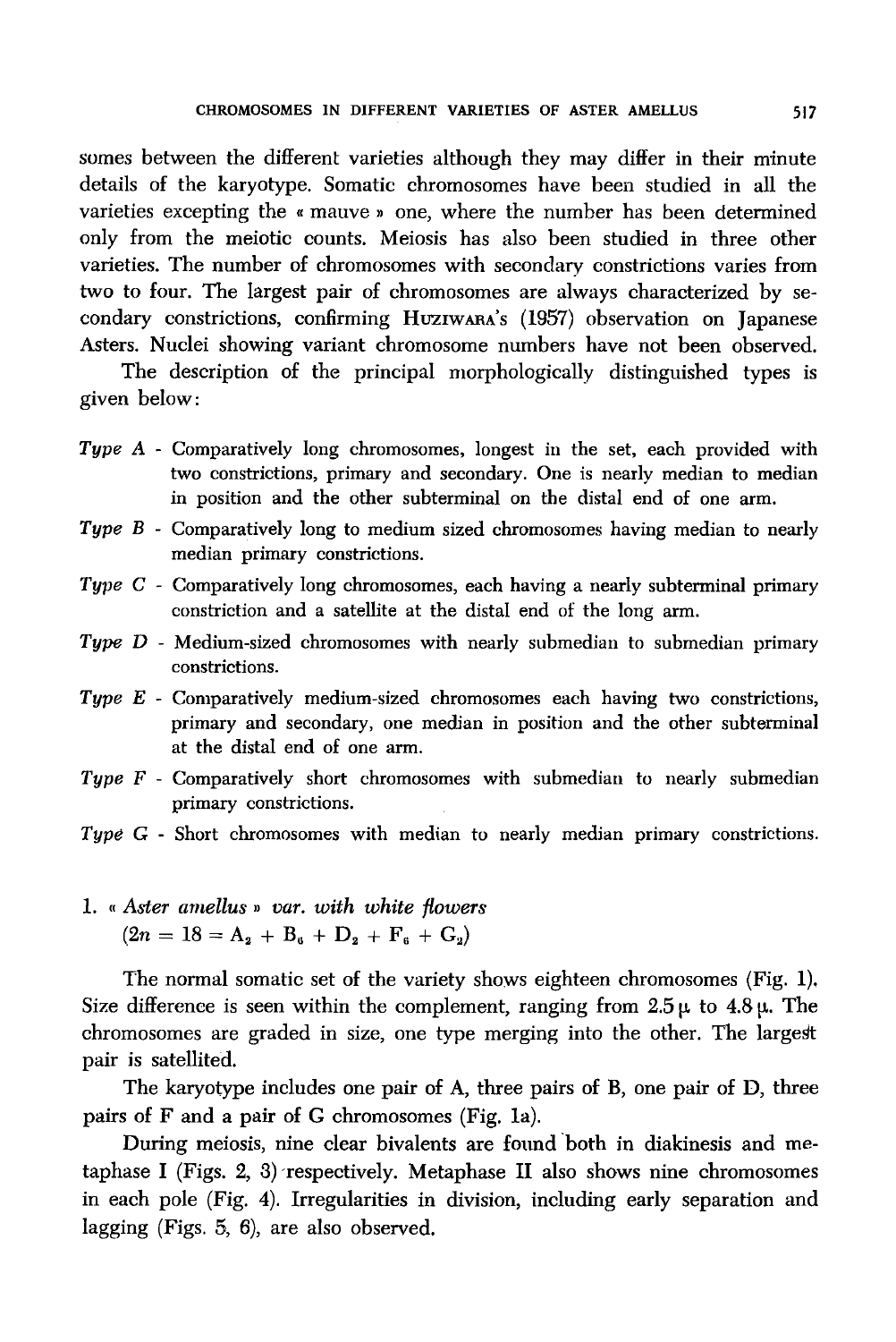somes between the different varieties although they may differ in their minute details of the karyotype. Somatic chromosomes have been studied in all the varieties excepting the « mauve » one, where the number has been determined only from the meiotic counts. Meiosis has also been studied in three other varieties. The number of chromosomes with secondary constrictions varies from two to four. The largest pair of chromosomes are always characterized by secondary constrictions, confirming HuziWARA's (1957) observation on Japanese Asters. Nuclei showing variant chromosome numbers have not been observed.

The description of the principal morphologically distinguished types is given below:

- *Type A -* Comparatively long chromosomes, longest in the set, each provided with two constrictions, primary and secondary. One is nearly median to median in position and the other subterminal on the distal end of one arm.
- *Type B*  Comparatively long to medium sized chromosomes having median to nearly median primary constrictions.
- *Type C*  Comparatively long chromosomes, each having a nearly subterminal primary constriction and a satellite at the distal end of the long arm.
- *Type D*  Medium-sized chromosomes with nearly submedian to submedian primary constrictions.
- *Type E*  Comparatively medium-sized chromosomes each having two constrictions, primary and secondary, one median in position and the other subterminal at the distal end of one arm.
- *Type F*  Comparatively short chromosomes with submedian to nearly submedian primary constrictions.
- *Type* G Short chromosomes with median to nearly median primary constrictions.
- 1. *"Aster amellus* » *var. with white flowers*   $(2n = 18 = A<sub>2</sub> + B<sub>6</sub> + D<sub>2</sub> + F<sub>6</sub> + G<sub>2</sub>)$

The normal somatic set of the variety shows eighteen chromosomes (Fig. 1). Size difference is seen within the complement, ranging from  $2.5 \mu$  to  $4.8 \mu$ . The chromosomes are graded in size, one type merging into the other. The largest pair is satellited.

The karyotype includes one pair of A, three pairs of B, one pair of D, three pairs of F and a pair of G chromosomes (Fig. 1a).

During meiosis, nine clear bivalents are found 'both in diakinesis and metaphase I (Figs. 2, 3) respectively. Metaphase II also shows nine chromosomes in each pole (Fig. 4). Irregularities in division, including early separation and lagging (Figs. 5, 6), are also observed.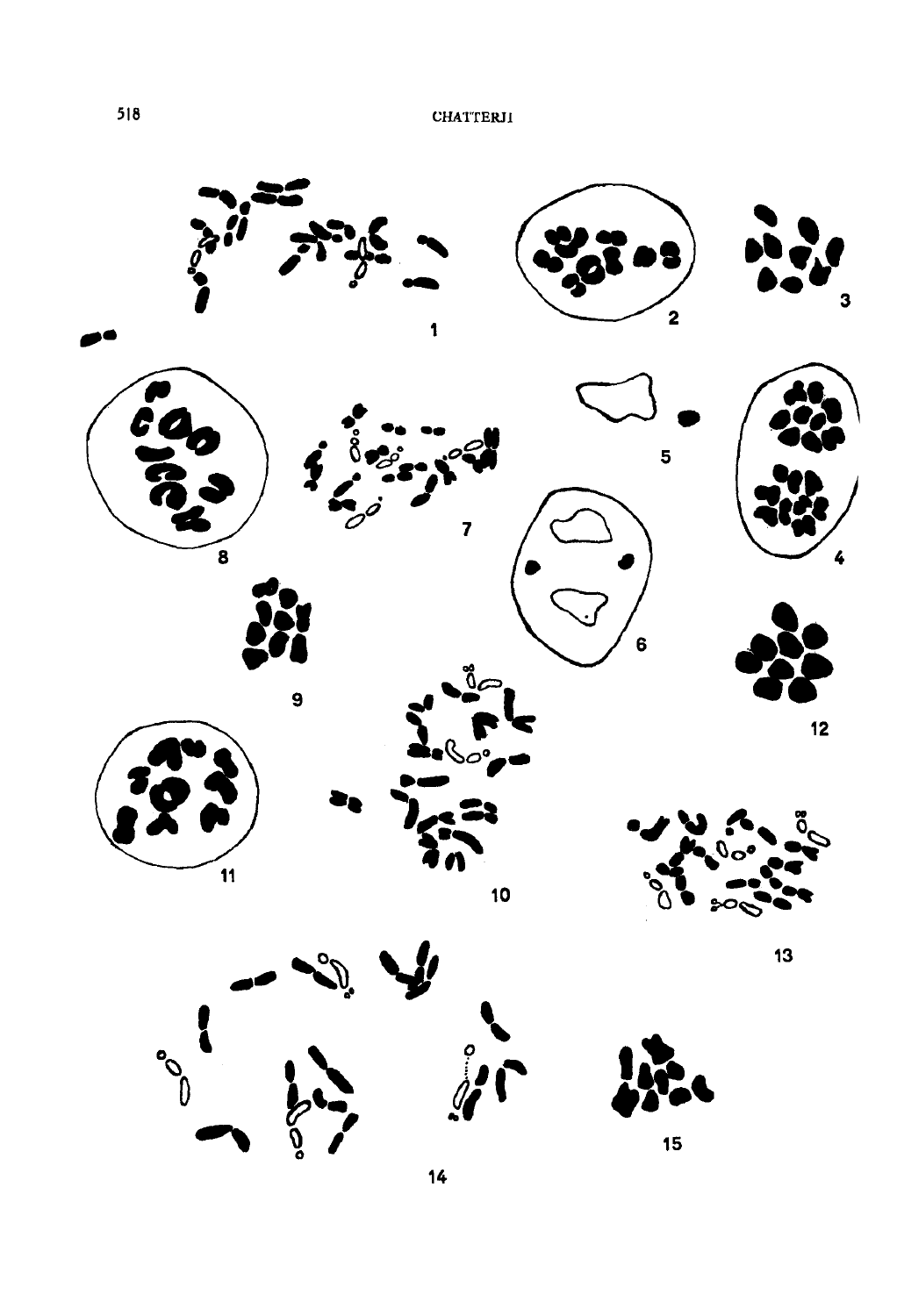

 $\frac{1}{4}$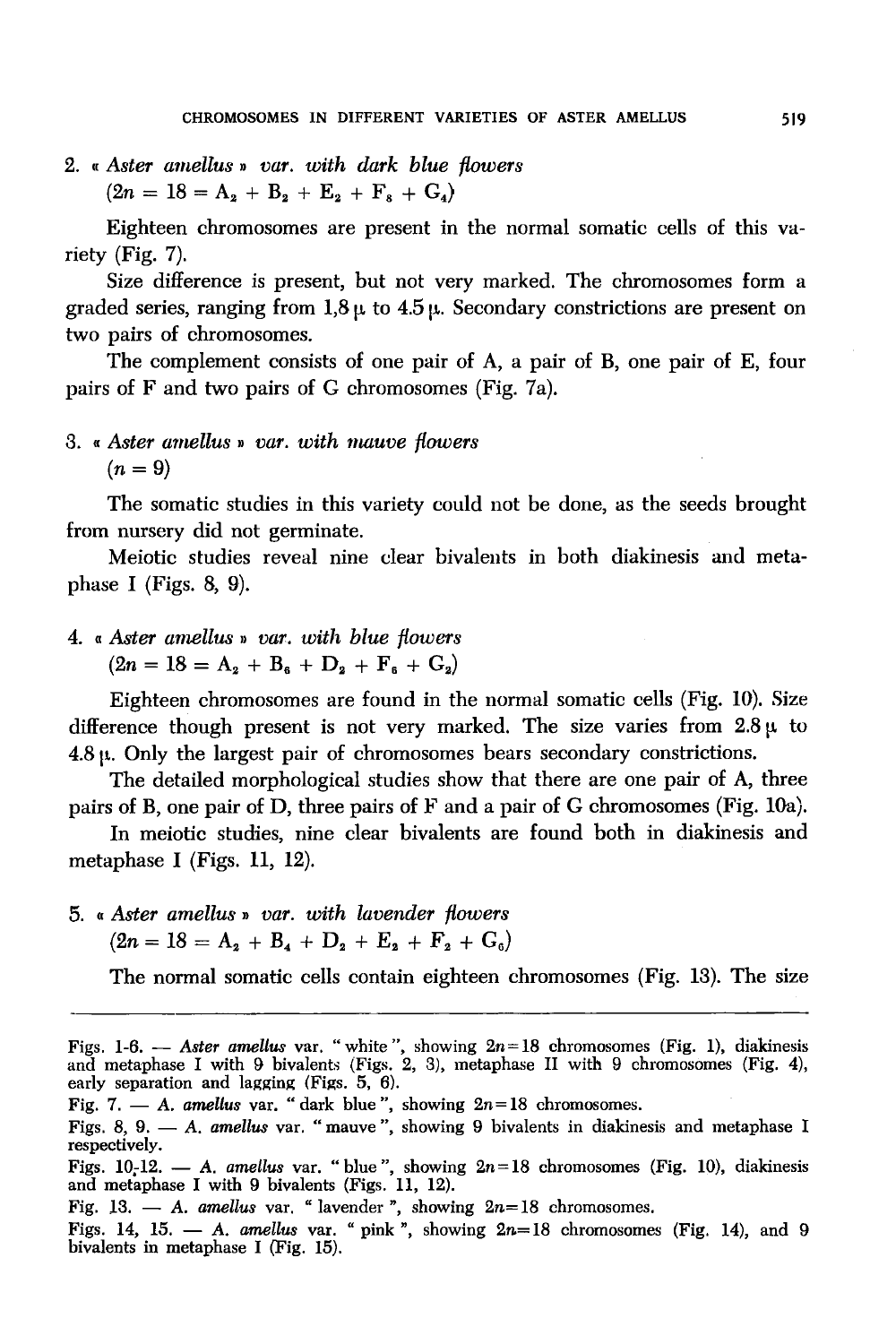2. " *Aster amellus* » *var. with dark blue flowers*   $(2n = 18 = A_2 + B_2 + E_3 + F_6 + G_4)$ 

Eighteen chromosomes are present in the normal somatic cells of this variety (Fig. 7).

Size difference is present, but not very marked. The chromosomes form a graded series, ranging from  $1.8 \mu$  to  $4.5 \mu$ . Secondary constrictions are present on two pairs of chromosomes.

The complement consists of one pair of A, a pair of B, one pair of E, four pairs of  $F$  and two pairs of  $G$  chromosomes (Fig. 7a).

## 3. " *Aster amellus* ,, *var. with mauve flowers*   $(n=9)$

The somatic studies in this variety could not be done, as the seeds brought from nursery did not germinate.

Meiotic studies reveal nine clear bivalents in both diakinesis and metaphase I (Figs. 8, 9).

4. « *Aster amellus* ,, *var. with blue flowers*   $(2n = 18 = A<sub>2</sub> + B<sub>6</sub> + D<sub>2</sub> + F<sub>6</sub> + G<sub>2</sub>)$ 

Eighteen chromosomes are found in the normal somatic cells (Fig. 10). Size difference though present is not very marked. The size varies from  $2.8 \mu$  to  $4.8 \mu$ . Only the largest pair of chromosomes bears secondary constrictions.

The detailed morphological studies show that there are one pair of A, three pairs of B, one pair of D, three pairs of F and a pair of G chromosomes (Fig. lOa).

In meiotic studies, nine clear bivalents are found both in diakinesis and metaphase I (Figs. 11, 12).

5. *"Aster amellus* » *var. with lavender flowers*   $(2n = 18 = A_2 + B_4 + D_2 + E_3 + F_4 + G_6)$ 

The normal somatic cells contain eighteen chromosomes (Fig. 13). The size

Figs. 1-6. - *Aster amellus* var. "white", showing 2n= 18 chromosomes (Fig. 1), diakinesis and metaphase I with 9 bivalents (Figs. 2, 3), metaphase II with 9 chromosomes (Fig. 4), early separation and lagging (Figs. 5, 6). Fig. 7.  $-$  A. amellus var. "dark blue", showing  $2n=18$  chromosomes. Figs. 8, 9. - A. amellus var. "mauve", showing 9 bivalents in diakinesis and metaphase I respectively. Figs. 10<sub>r</sub>12. - A. *amellus* var. "blue", showing  $2n=18$  chromosomes (Fig. 10), diakinesis and metaphase I with 9 bivalents (Figs. 11, 12). Fig. 13.  $-$  *A. amellus var.* " lavender ", showing  $2n=18$  chromosomes.

Figs. 14, 15.  $-$  *A. amellus var.* "pink", showing  $2n=18$  chromosomes (Fig. 14), and 9 bivalents in metaphase I (Fig. 15).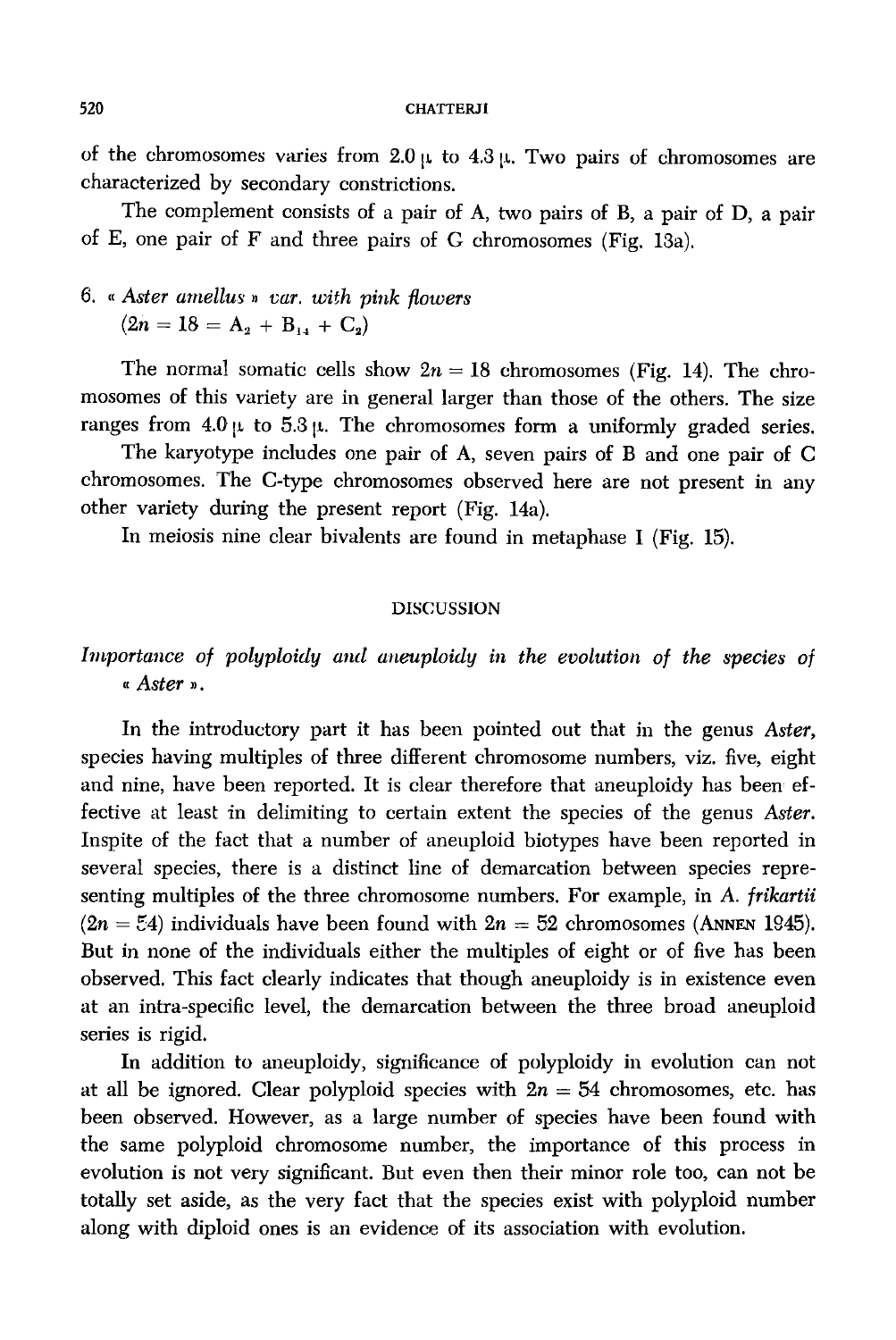of the chromosomes varies from  $2.0 \mu$  to  $4.3 \mu$ . Two pairs of chromosomes are characterized by secondary constrictions.

The complement consists of a pair of A, two pairs of B, a pair of D, a pair of E, one pair of F and three pairs of G chromosomes (Fig. 13a).

## 6. " *Aster amellus" var. with pink flowers*   $(2n = 18 = A_2 + B_{11} + C_2)$

The normal somatic cells show  $2n = 18$  chromosomes (Fig. 14). The chromosomes of this variety are in general larger than those of the others. The size ranges from  $4.0 \mu$  to  $5.3 \mu$ . The chromosomes form a uniformly graded series.

The karyotype includes one pair of A, seven pairs of B and one pair of C chromosomes. The C-type chromosomes observed here are not present in any other variety during the present report (Fig. 14a).

In meiosis nine clear bivalents are found in metaphase I (Fig. 15).

#### DISCUSSION

# Importance of polyploidy and aneuploidy in the evolution of the species of *"Aster"·*

In the introductory part it has been pointed out that in the genus *Aster,*  species having multiples of three different chromosome numbers, viz. five, eight and nine, have been reported. It is clear therefore that aneuploidy has been effective at least in delimiting to certain extent the species of the genus *Aster.*  Inspite of the fact that a number of aneuploid biotypes have been reported in several species, there is a distinct line of demarcation between species representing multiples of the three chromosome numbers. For example, in *A. frikartii*   $(2n = 54)$  individuals have been found with  $2n = 52$  chromosomes (ANNEN 1945). But in none of the individuals either the multiples of eight or of five has been observed. This fact clearly indicates that though aneuploidy is in existence even at an intra-specific level, the demarcation between the three broad aneuploid series is rigid.

In addition to aneuploidy, significance of polyploidy in evolution can not at all be ignored. Clear polyploid species with  $2n = 54$  chromosomes, etc. has been observed. However, as a large number of species have been found with the same polyploid chromosome number, the importance of this process in evolution is not very significant. But even then their minor role too, can not be totally set aside, as the very fact that the species exist with polyploid number along with diploid ones is an evidence of its association with evolution.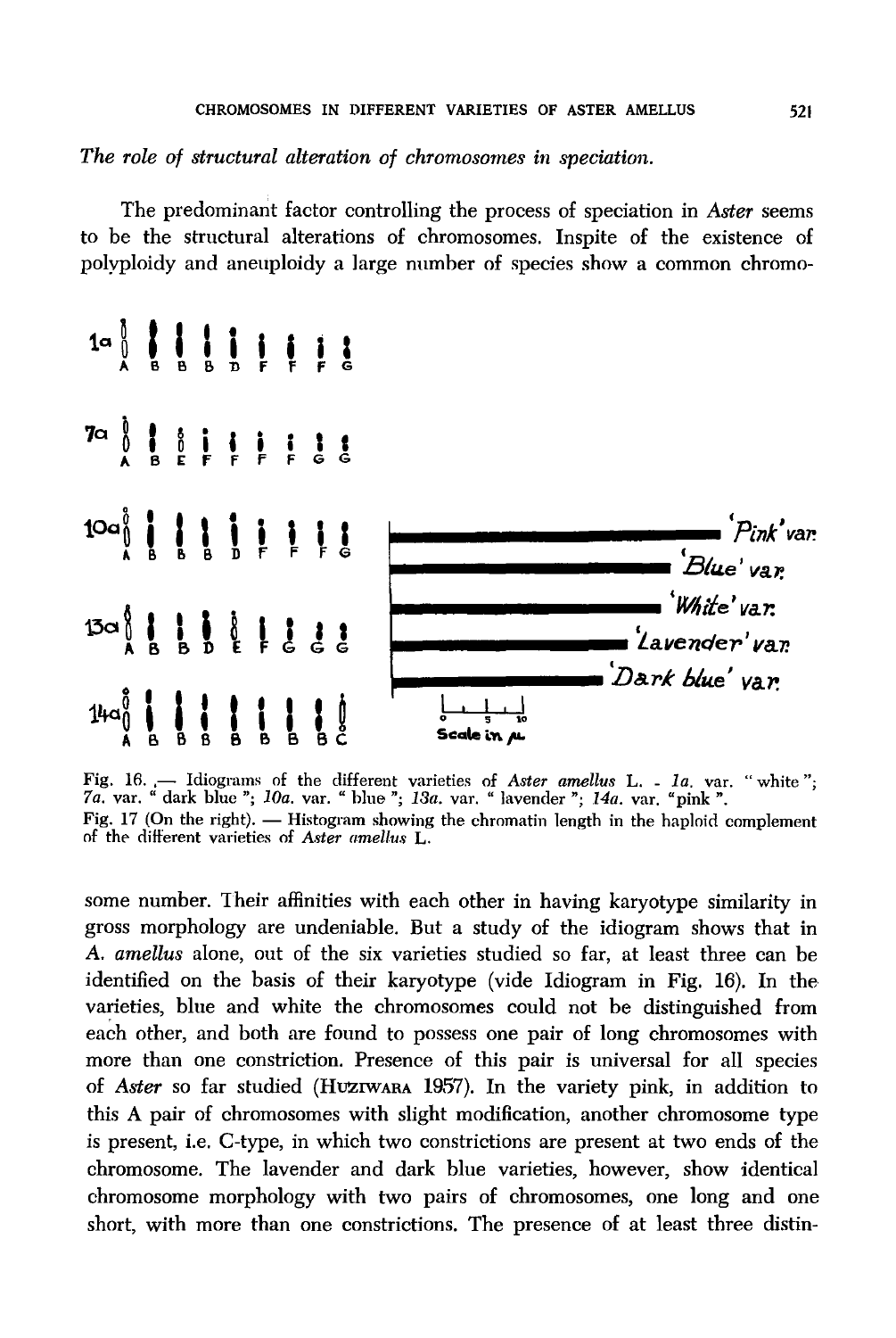The role of structural alteration of chromosomes in speciation.

The predominant factor controlling the process of speciation in Aster seems to be the structural alterations of chromosomes. Inspite of the existence of polyploidy and aneuploidy a large number of species show a common chromo-



Fig. 16. — Idiograms of the different varieties of Aster amellus L. - 1a. var. "white"; 7a. var. "dark blue"; 10a. var. "blue"; 13a. var. "lavender"; 14a. var. "pink". Fig. 17 (On the right). — Histogram showing the chromatin length in the haploid complement of the different varieties of Aster amellus L.

some number. Their affinities with each other in having karyotype similarity in gross morphology are undeniable. But a study of the idiogram shows that in A. amellus alone, out of the six varieties studied so far, at least three can be identified on the basis of their karyotype (vide Idiogram in Fig. 16). In the varieties, blue and white the chromosomes could not be distinguished from each other, and both are found to possess one pair of long chromosomes with more than one constriction. Presence of this pair is universal for all species of Aster so far studied (HUZIWARA 1957). In the variety pink, in addition to this A pair of chromosomes with slight modification, another chromosome type is present, i.e. C-type, in which two constrictions are present at two ends of the chromosome. The lavender and dark blue varieties, however, show identical chromosome morphology with two pairs of chromosomes, one long and one short, with more than one constrictions. The presence of at least three distin-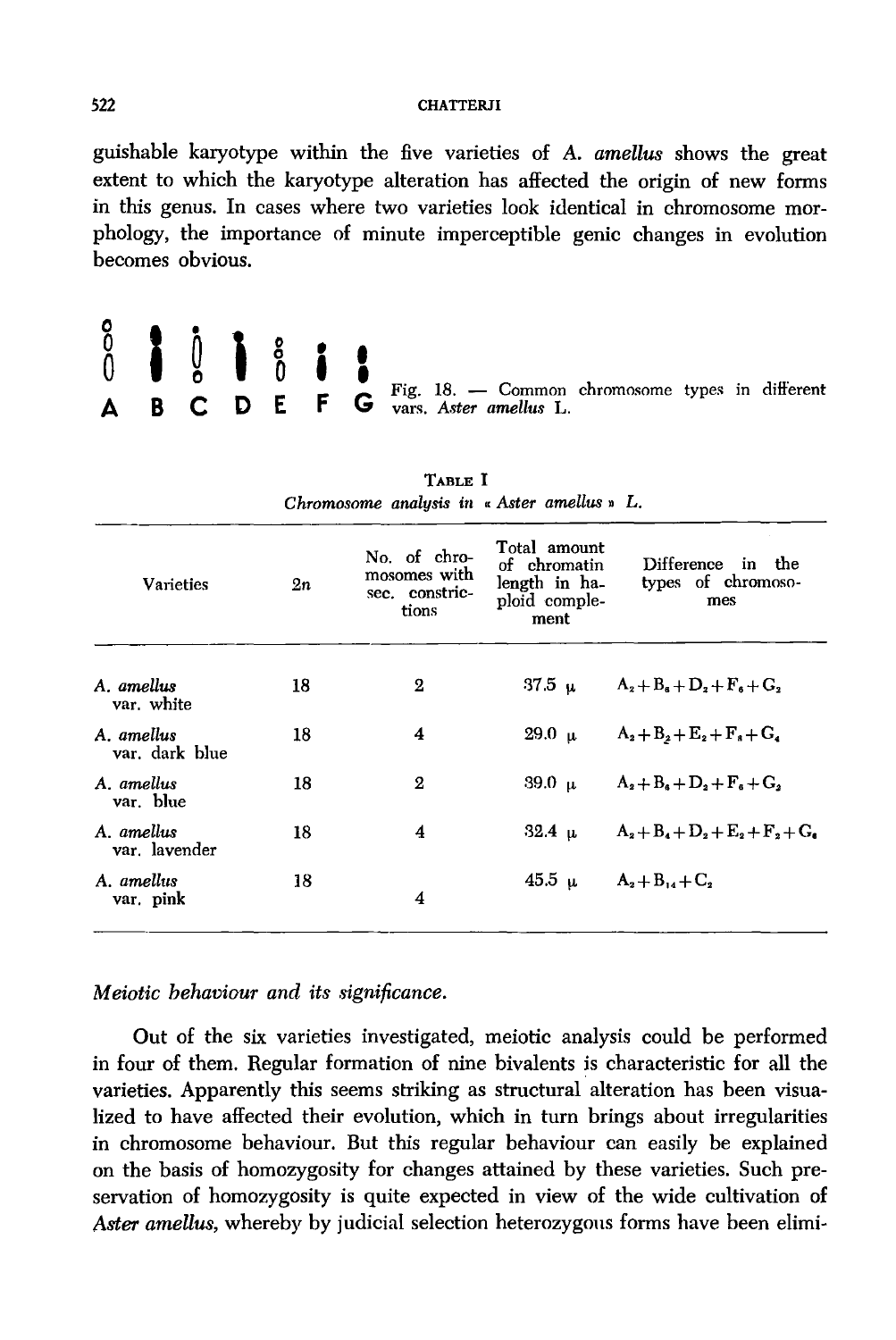#### 522 CHATTERJI

guishable karyotype within the five varieties of A. *amellus* shows the great extent to which the karyotype alteration has affected the origin of new forms in this genus. In cases where two varieties look identical in chromosome morphology, the importance of minute imperceptible genic changes in evolution becomes obvious.



 $\begin{array}{ccc}\n0 & 1 \\
0 & \text{Fig. 18.} - \text{Common chromosome types in different}\n\end{array}$ E vars. *Aster amellus* L.

| <b>Varieties</b>            | 2n | No. of chro-<br>mosomes with<br>sec. constric-<br>tions | Total amount<br>of chromatin<br>length in ha-<br>ploid comple-<br>ment | Difference in the<br>types of chromoso-<br>mes |
|-----------------------------|----|---------------------------------------------------------|------------------------------------------------------------------------|------------------------------------------------|
| A. amellus                  | 18 | $\mathbf 2$                                             |                                                                        | 37.5 u $A_2 + B_6 + D_2 + F_6 + G_2$           |
| var. white                  |    |                                                         |                                                                        |                                                |
| A amellus<br>var. dark blue | 18 | 4                                                       |                                                                        | 29.0 $\mu$ $A_2 + B_2 + E_2 + F_3 + G_4$       |
| A amellus<br>var. blue      | 18 | $\mathbf{2}$                                            |                                                                        | 39.0 $\mu$ $A_2 + B_6 + D_2 + F_6 + G_2$       |
| A. amellus<br>var. lavender | 18 | 4                                                       | 32.4 u                                                                 | $A_2 + B_4 + D_2 + E_3 + F_2 + G_6$            |
| A. amellus<br>var, pink     | 18 | 4                                                       |                                                                        | 45.5 u $A_2 + B_1 + C_2$                       |
|                             |    |                                                         |                                                                        |                                                |

TABLE I *Chromosome analysis in* « *Aster amellus* » *L.* 

## *Meiotic behaviour and its significance.*

Out of the six varieties investigated, meiotic analysis could be performed in four of them. Regular formation of nine bivalents is characteristic for all the varieties. Apparently this seems striking as structural alteration has been visualized to have affected their evolution, which in turn brings about irregularities in chromosome behaviour. But this regular behaviour can easily be explained on the basis of homozygosity for changes attained by these varieties. Such preservation of homozygosity is quite expected in view of the wide cultivation of *Aster amellus,* whereby by judicial selection heterozygous forms have been elimi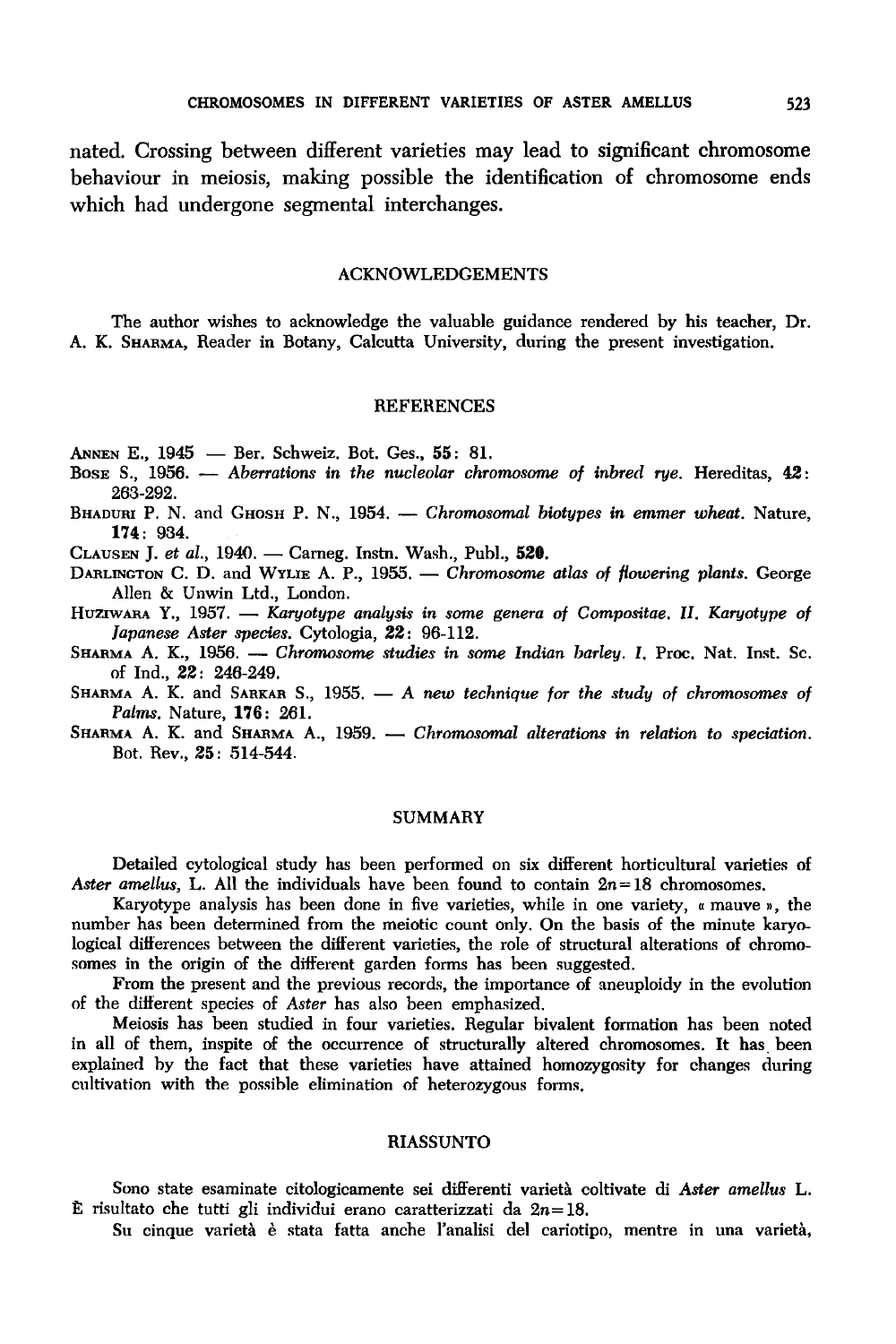nated. Crossing between different varieties may lead to significant chromosome behaviour in meiosis, making possible the identification of chromosome ends which had undergone segmental interchanges.

#### ACKNOWLEDGEMENTS

The author wishes to acknowledge the valuable guidance rendered by his teacher, Dr. A. K. SHARMA, Reader in Botany, Calcutta University, during the present investigation.

#### REFERENCES

ANNEN E., 1945 - Ber. Schweiz. Bot. Ges., 55: 81.

- Bose S., 1956. *Aberrations in the nucleolar chromosome of inbred rye.* Hereditas, 42: 263-292.
- BHADURI P. N. and GHOSH P. N., 1954. *Chromosomal biotypes in emmer wheat*. Nature, **174:** 934.
- CLAUSEN J. *et al.,* 1940. Carneg. Instn. Wash., Publ., **520.**
- DARLINGTON C. D. and WYLIE A. P., 1955. *Chromosome atlas of flowering plants*. George Allen & Unwin Ltd., London.
- HUZIWARA Y., 1957. *Karyotype analysis in some genera of Compositae.* II. *Karyotype of Japanese Aster species.* Cytologia, 22: 96-112.
- SHARMA A. K., 1956. *Chromosome studies in some Indian barley. 1.* Proc. Nat. Inst. Sc. of Ind., 22: 246-249.
- SHARMA A. K. and SARKAR S., 1955. A new technique for the study of chromosomes of *Palms.* Nature, **176:** 261.
- SHARMA A. K. and SHARMA A., 1959. *Chromosomal alterations in relation to speciation*. Bot. Rev., 25: 514-544.

#### SUMMARY

Detailed cytological study has been performed on six different horticultural varieties of *Aster amellus, L. All the individuals have been found to contain*  $2n = 18$  *chromosomes.* 

Karyotype analysis has been done in five varieties, while in one variety, « mauve », the number has been determined from the meiotic count only. On the basis of the minute karyo.. logical differences between the different varieties, the role of structural alterations of chromosomes in the origin of the different garden forms has been suggested.

From the present and the previous records, the importance of aneuploidy in the evolution of the different species of *Aster* has also been emphasized.

Meiosis has been studied in four varieties. Regular bivalent formation has been noted in all of them, inspite of the occurrence of structurally altered chromosomes. It has been explained by the fact that these varieties have attained homozygosity for changes during cultivation with the possible elimination of heterozygous forms.

#### RIASSUNTO

Sono state esaminate citologicamente sei differenti varietà coltivate di Aster amellus L. :E risultato che tutti gli individui erano caratterizzati da *2n=* 18.

Su cinque varietà è stata fatta anche l'analisi del cariotipo, mentre in una varietà,